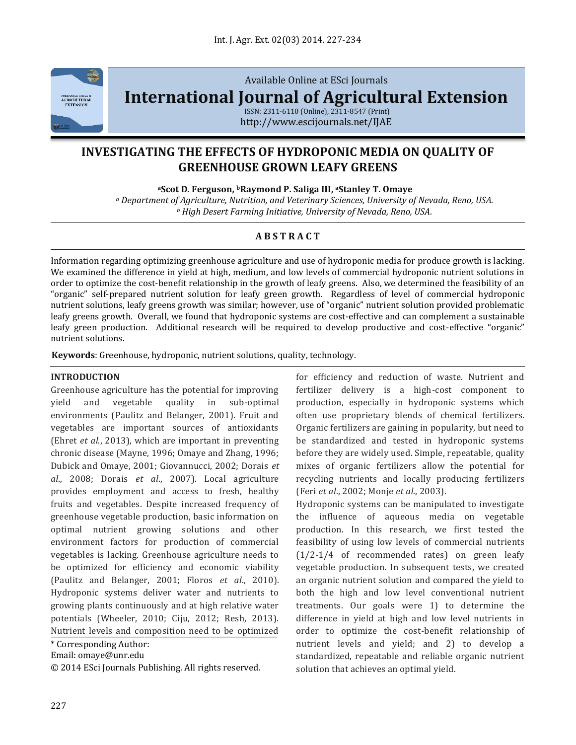

Available Online at ESci Journals

**[International Journal of Agricultural Extension](http://www.escijournals.net/IJER)**

ISSN: 2311-6110 (Online), 2311-8547 (Print) http://www.escijournals.net/IJAE

# **INVESTIGATING THE EFFECTS OF HYDROPONIC MEDIA ON QUALITY OF GREENHOUSE GROWN LEAFY GREENS**

**<sup>a</sup>Scot D. Ferguson, bRaymond P. Saliga III, aStanley T. Omaye**

*<sup>a</sup> Department of Agriculture, Nutrition, and Veterinary Sciences, University of Nevada, Reno, USA. <sup>b</sup> High Desert Farming Initiative, University of Nevada, Reno, USA.*

# **A B S T R A C T**

Information regarding optimizing greenhouse agriculture and use of hydroponic media for produce growth is lacking. We examined the difference in yield at high, medium, and low levels of commercial hydroponic nutrient solutions in order to optimize the cost-benefit relationship in the growth of leafy greens. Also, we determined the feasibility of an "organic" self-prepared nutrient solution for leafy green growth. Regardless of level of commercial hydroponic nutrient solutions, leafy greens growth was similar; however, use of "organic" nutrient solution provided problematic leafy greens growth. Overall, we found that hydroponic systems are cost-effective and can complement a sustainable leafy green production. Additional research will be required to develop productive and cost-effective "organic" nutrient solutions.

**Keywords**: Greenhouse, hydroponic, nutrient solutions, quality, technology.

### **INTRODUCTION**

Greenhouse agriculture has the potential for improving yield and vegetable quality in sub-optimal environments (Paulitz and Belanger, 2001). Fruit and vegetables are important sources of antioxidants (Ehret *et al*., 2013), which are important in preventing chronic disease (Mayne, 1996; Omaye and Zhang, 1996; Dubick and Omaye, 2001; Giovannucci, 2002; Dorais *et al*., 2008; Dorais *et al*., 2007). Local agriculture provides employment and access to fresh, healthy fruits and vegetables. Despite increased frequency of greenhouse vegetable production, basic information on optimal nutrient growing solutions and other environment factors for production of commercial vegetables is lacking. Greenhouse agriculture needs to be optimized for efficiency and economic viability (Paulitz and Belanger, 2001; Floros *et al*., 2010). Hydroponic systems deliver water and nutrients to growing plants continuously and at high relative water potentials (Wheeler, 2010; Ciju, 2012; Resh, 2013). Nutrient levels and composition need to be optimized

\* Corresponding Author:

Email: omaye@unr.edu

© 2014 ESci Journals Publishing. All rights reserved.

for efficiency and reduction of waste. Nutrient and fertilizer delivery is a high-cost component to production, especially in hydroponic systems which often use proprietary blends of chemical fertilizers. Organic fertilizers are gaining in popularity, but need to be standardized and tested in hydroponic systems before they are widely used. Simple, repeatable, quality mixes of organic fertilizers allow the potential for recycling nutrients and locally producing fertilizers (Feri *et al*., 2002; Monje *et al*., 2003).

Hydroponic systems can be manipulated to investigate the influence of aqueous media on vegetable production. In this research, we first tested the feasibility of using low levels of commercial nutrients (1/2-1/4 of recommended rates) on green leafy vegetable production. In subsequent tests, we created an organic nutrient solution and compared the yield to both the high and low level conventional nutrient treatments. Our goals were 1) to determine the difference in yield at high and low level nutrients in order to optimize the cost-benefit relationship of nutrient levels and yield; and 2) to develop a standardized, repeatable and reliable organic nutrient solution that achieves an optimal yield.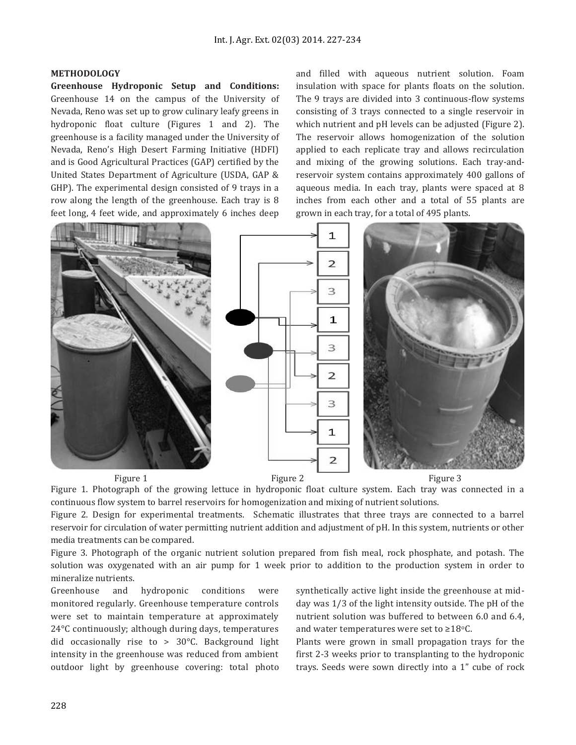## **METHODOLOGY**

**Greenhouse Hydroponic Setup and Conditions:**  Greenhouse 14 on the campus of the University of Nevada, Reno was set up to grow culinary leafy greens in hydroponic float culture (Figures 1 and 2). The greenhouse is a facility managed under the University of Nevada, Reno's High Desert Farming Initiative (HDFI) and is Good Agricultural Practices (GAP) certified by the United States Department of Agriculture (USDA, GAP & GHP). The experimental design consisted of 9 trays in a row along the length of the greenhouse. Each tray is 8 feet long, 4 feet wide, and approximately 6 inches deep

and filled with aqueous nutrient solution. Foam insulation with space for plants floats on the solution. The 9 trays are divided into 3 continuous-flow systems consisting of 3 trays connected to a single reservoir in which nutrient and pH levels can be adjusted (Figure 2). The reservoir allows homogenization of the solution applied to each replicate tray and allows recirculation and mixing of the growing solutions. Each tray-andreservoir system contains approximately 400 gallons of aqueous media. In each tray, plants were spaced at 8 inches from each other and a total of 55 plants are grown in each tray, for a total of 495 plants.



Figure 1. Photograph of the growing lettuce in hydroponic float culture system. Each tray was connected in a continuous flow system to barrel reservoirs for homogenization and mixing of nutrient solutions.

Figure 2. Design for experimental treatments. Schematic illustrates that three trays are connected to a barrel reservoir for circulation of water permitting nutrient addition and adjustment of pH. In this system, nutrients or other media treatments can be compared.

Figure 3. Photograph of the organic nutrient solution prepared from fish meal, rock phosphate, and potash. The solution was oxygenated with an air pump for 1 week prior to addition to the production system in order to mineralize nutrients.

Greenhouse and hydroponic conditions were monitored regularly. Greenhouse temperature controls were set to maintain temperature at approximately 24°C continuously; although during days, temperatures did occasionally rise to > 30°C. Background light intensity in the greenhouse was reduced from ambient outdoor light by greenhouse covering: total photo synthetically active light inside the greenhouse at midday was 1/3 of the light intensity outside. The pH of the nutrient solution was buffered to between 6.0 and 6.4, and water temperatures were set to  $\geq 18^{\circ}$ C.

Plants were grown in small propagation trays for the first 2-3 weeks prior to transplanting to the hydroponic trays. Seeds were sown directly into a 1" cube of rock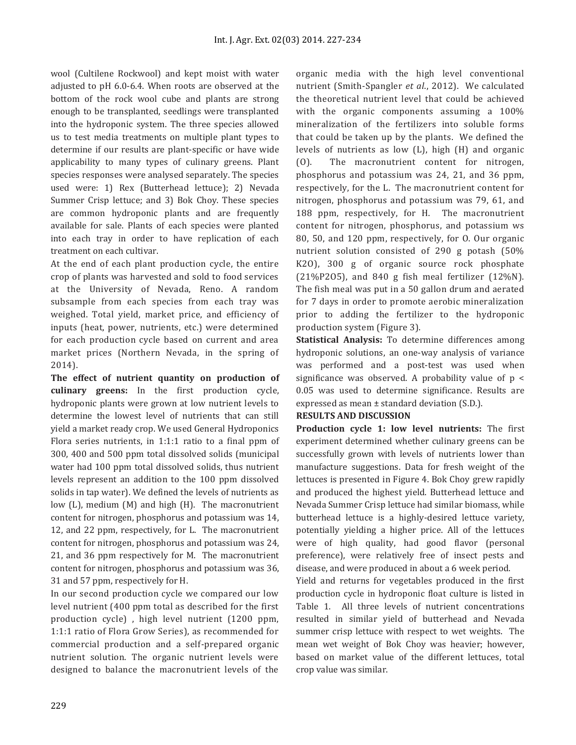wool (Cultilene Rockwool) and kept moist with water adjusted to pH 6.0-6.4. When roots are observed at the bottom of the rock wool cube and plants are strong enough to be transplanted, seedlings were transplanted into the hydroponic system. The three species allowed us to test media treatments on multiple plant types to determine if our results are plant-specific or have wide applicability to many types of culinary greens. Plant species responses were analysed separately. The species used were: 1) Rex (Butterhead lettuce); 2) Nevada Summer Crisp lettuce; and 3) Bok Choy. These species are common hydroponic plants and are frequently available for sale. Plants of each species were planted into each tray in order to have replication of each treatment on each cultivar.

At the end of each plant production cycle, the entire crop of plants was harvested and sold to food services at the University of Nevada, Reno. A random subsample from each species from each tray was weighed. Total yield, market price, and efficiency of inputs (heat, power, nutrients, etc.) were determined for each production cycle based on current and area market prices (Northern Nevada, in the spring of 2014).

**The effect of nutrient quantity on production of culinary greens:** In the first production cycle, hydroponic plants were grown at low nutrient levels to determine the lowest level of nutrients that can still yield a market ready crop. We used General Hydroponics Flora series nutrients, in 1:1:1 ratio to a final ppm of 300, 400 and 500 ppm total dissolved solids (municipal water had 100 ppm total dissolved solids, thus nutrient levels represent an addition to the 100 ppm dissolved solids in tap water). We defined the levels of nutrients as low (L), medium (M) and high (H). The macronutrient content for nitrogen, phosphorus and potassium was 14, 12, and 22 ppm, respectively, for L. The macronutrient content for nitrogen, phosphorus and potassium was 24, 21, and 36 ppm respectively for M. The macronutrient content for nitrogen, phosphorus and potassium was 36, 31 and 57 ppm, respectively for H.

In our second production cycle we compared our low level nutrient (400 ppm total as described for the first production cycle) , high level nutrient (1200 ppm, 1:1:1 ratio of Flora Grow Series), as recommended for commercial production and a self-prepared organic nutrient solution. The organic nutrient levels were designed to balance the macronutrient levels of the organic media with the high level conventional nutrient (Smith-Spangler *et al*., 2012). We calculated the theoretical nutrient level that could be achieved with the organic components assuming a 100% mineralization of the fertilizers into soluble forms that could be taken up by the plants. We defined the levels of nutrients as low (L), high (H) and organic (O). The macronutrient content for nitrogen, phosphorus and potassium was 24, 21, and 36 ppm, respectively, for the L. The macronutrient content for nitrogen, phosphorus and potassium was 79, 61, and 188 ppm, respectively, for H. The macronutrient content for nitrogen, phosphorus, and potassium ws 80, 50, and 120 ppm, respectively, for O. Our organic nutrient solution consisted of 290 g potash (50% K2O), 300 g of organic source rock phosphate (21%P2O5), and 840 g fish meal fertilizer (12%N). The fish meal was put in a 50 gallon drum and aerated for 7 days in order to promote aerobic mineralization prior to adding the fertilizer to the hydroponic production system (Figure 3).

**Statistical Analysis:** To determine differences among hydroponic solutions, an one-way analysis of variance was performed and a post-test was used when significance was observed. A probability value of p < 0.05 was used to determine significance. Results are expressed as mean ± standard deviation (S.D.).

## **RESULTS AND DISCUSSION**

**Production cycle 1: low level nutrients:** The first experiment determined whether culinary greens can be successfully grown with levels of nutrients lower than manufacture suggestions. Data for fresh weight of the lettuces is presented in Figure 4. Bok Choy grew rapidly and produced the highest yield. Butterhead lettuce and Nevada Summer Crisp lettuce had similar biomass, while butterhead lettuce is a highly-desired lettuce variety, potentially yielding a higher price. All of the lettuces were of high quality, had good flavor (personal preference), were relatively free of insect pests and disease, and were produced in about a 6 week period.

Yield and returns for vegetables produced in the first production cycle in hydroponic float culture is listed in Table 1. All three levels of nutrient concentrations resulted in similar yield of butterhead and Nevada summer crisp lettuce with respect to wet weights. The mean wet weight of Bok Choy was heavier; however, based on market value of the different lettuces, total crop value was similar.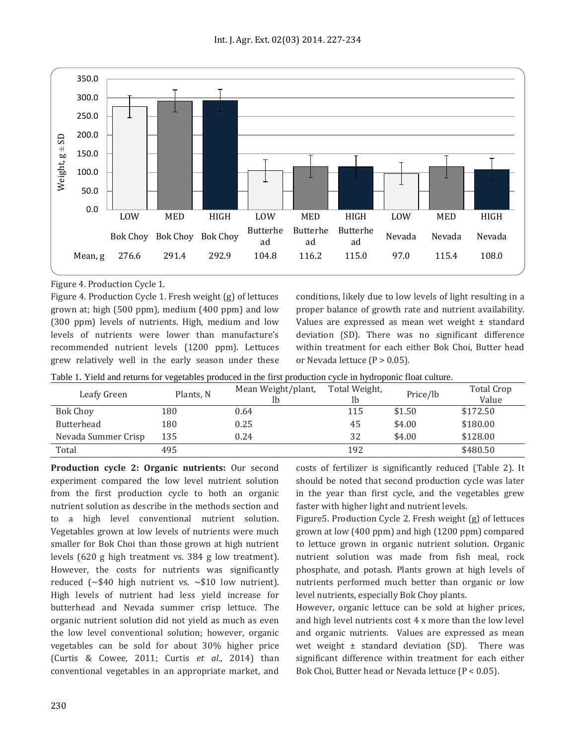

Figure 4. Production Cycle 1.

Figure 4. Production Cycle 1. Fresh weight (g) of lettuces grown at; high (500 ppm), medium (400 ppm) and low (300 ppm) levels of nutrients. High, medium and low levels of nutrients were lower than manufacture's recommended nutrient levels (1200 ppm). Lettuces grew relatively well in the early season under these conditions, likely due to low levels of light resulting in a proper balance of growth rate and nutrient availability. Values are expressed as mean wet weight ± standard deviation (SD). There was no significant difference within treatment for each either Bok Choi, Butter head or Nevada lettuce  $(P > 0.05)$ .

| Leafy Green         | Plants, N | Mean Weight/plant,<br>Ib | Total Weight,<br>Ib | Price/lb | <b>Total Crop</b><br>Value |
|---------------------|-----------|--------------------------|---------------------|----------|----------------------------|
| <b>Bok Choy</b>     | 180       | 0.64                     | 115                 | \$1.50   | \$172.50                   |
| <b>Butterhead</b>   | 180       | 0.25                     | 45                  | \$4.00   | \$180.00                   |
| Nevada Summer Crisp | 135       | 0.24                     | 32                  | \$4.00   | \$128.00                   |
| Total               | 495       |                          | 192                 |          | \$480.50                   |

**Production cycle 2: Organic nutrients:** Our second experiment compared the low level nutrient solution from the first production cycle to both an organic nutrient solution as describe in the methods section and to a high level conventional nutrient solution. Vegetables grown at low levels of nutrients were much smaller for Bok Choi than those grown at high nutrient levels (620 g high treatment vs. 384 g low treatment). However, the costs for nutrients was significantly reduced ( $\sim$ \$40 high nutrient vs.  $\sim$ \$10 low nutrient). High levels of nutrient had less yield increase for butterhead and Nevada summer crisp lettuce. The organic nutrient solution did not yield as much as even the low level conventional solution; however, organic vegetables can be sold for about 30% higher price (Curtis & Cowee, 2011; Curtis *et al*., 2014) than conventional vegetables in an appropriate market, and

costs of fertilizer is significantly reduced (Table 2). It should be noted that second production cycle was later in the year than first cycle, and the vegetables grew faster with higher light and nutrient levels.

Figure5. Production Cycle 2. Fresh weight (g) of lettuces grown at low (400 ppm) and high (1200 ppm) compared to lettuce grown in organic nutrient solution. Organic nutrient solution was made from fish meal, rock phosphate, and potash. Plants grown at high levels of nutrients performed much better than organic or low level nutrients, especially Bok Choy plants.

However, organic lettuce can be sold at higher prices, and high level nutrients cost 4 x more than the low level and organic nutrients. Values are expressed as mean wet weight  $\pm$  standard deviation (SD). There was significant difference within treatment for each either Bok Choi, Butter head or Nevada lettuce (P < 0.05).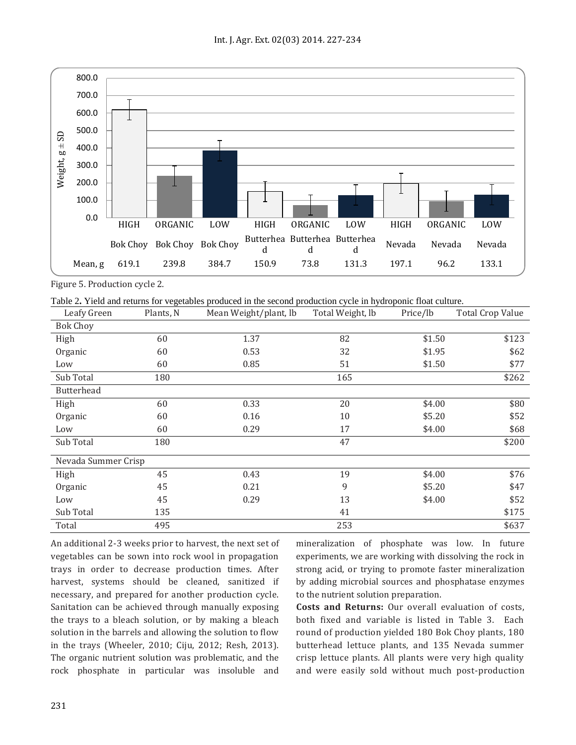

Figure 5. Production cycle 2.

Table 2**.** Yield and returns for vegetables produced in the second production cycle in hydroponic float culture.

| Leafy Green         | Plants, N | Mean Weight/plant, lb | Total Weight, lb | Price/lb | Total Crop Value |
|---------------------|-----------|-----------------------|------------------|----------|------------------|
| <b>Bok Choy</b>     |           |                       |                  |          |                  |
| High                | 60        | 1.37                  | 82               | \$1.50   | \$123            |
| Organic             | 60        | 0.53                  | 32               | \$1.95   | \$62             |
| Low                 | 60        | 0.85                  | 51               | \$1.50   | \$77             |
| Sub Total           | 180       |                       | 165              |          | \$262            |
| Butterhead          |           |                       |                  |          |                  |
| High                | 60        | 0.33                  | 20               | \$4.00   | \$80             |
| Organic             | 60        | 0.16                  | 10               | \$5.20   | \$52             |
| Low                 | 60        | 0.29                  | 17               | \$4.00   | \$68             |
| Sub Total           | 180       |                       | 47               |          | \$200            |
| Nevada Summer Crisp |           |                       |                  |          |                  |
| High                | 45        | 0.43                  | 19               | \$4.00   | \$76             |
| Organic             | 45        | 0.21                  | 9                | \$5.20   | \$47             |
| Low                 | 45        | 0.29                  | 13               | \$4.00   | \$52             |
| Sub Total           | 135       |                       | 41               |          | \$175            |
| Total               | 495       |                       | 253              |          | \$637            |

An additional 2-3 weeks prior to harvest, the next set of vegetables can be sown into rock wool in propagation trays in order to decrease production times. After harvest, systems should be cleaned, sanitized if necessary, and prepared for another production cycle. Sanitation can be achieved through manually exposing the trays to a bleach solution, or by making a bleach solution in the barrels and allowing the solution to flow in the trays (Wheeler, 2010; Ciju, 2012; Resh, 2013). The organic nutrient solution was problematic, and the rock phosphate in particular was insoluble and

mineralization of phosphate was low. In future experiments, we are working with dissolving the rock in strong acid, or trying to promote faster mineralization by adding microbial sources and phosphatase enzymes to the nutrient solution preparation.

**Costs and Returns:** Our overall evaluation of costs, both fixed and variable is listed in Table 3. Each round of production yielded 180 Bok Choy plants, 180 butterhead lettuce plants, and 135 Nevada summer crisp lettuce plants. All plants were very high quality and were easily sold without much post-production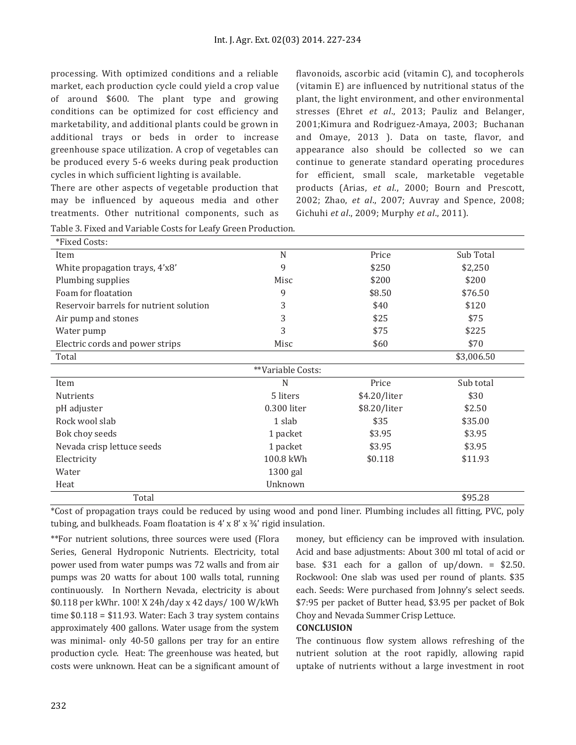processing. With optimized conditions and a reliable market, each production cycle could yield a crop value of around \$600. The plant type and growing conditions can be optimized for cost efficiency and marketability, and additional plants could be grown in additional trays or beds in order to increase greenhouse space utilization. A crop of vegetables can be produced every 5-6 weeks during peak production cycles in which sufficient lighting is available.

There are other aspects of vegetable production that may be influenced by aqueous media and other treatments. Other nutritional components, such as flavonoids, ascorbic acid (vitamin C), and tocopherols (vitamin E) are influenced by nutritional status of the plant, the light environment, and other environmental stresses (Ehret *et al*., 2013; Pauliz and Belanger, 2001;Kimura and Rodriguez-Amaya, 2003; Buchanan and Omaye, 2013 ). Data on taste, flavor, and appearance also should be collected so we can continue to generate standard operating procedures for efficient, small scale, marketable vegetable products (Arias, *et al*., 2000; Bourn and Prescott, 2002; Zhao, *et al*., 2007; Auvray and Spence, 2008; Gichuhi *et al*., 2009; Murphy *et al*., 2011).

| Table 3. Fixed and Variable Costs for Leafy Green Production. |                   |              |            |
|---------------------------------------------------------------|-------------------|--------------|------------|
| *Fixed Costs:                                                 |                   |              |            |
| Item                                                          | N                 | Price        | Sub Total  |
| White propagation trays, 4'x8'                                | 9                 | \$250        | \$2,250    |
| Plumbing supplies                                             | Misc              | \$200        | \$200      |
| Foam for floatation                                           | 9                 | \$8.50       | \$76.50    |
| Reservoir barrels for nutrient solution                       | 3                 | \$40         | \$120      |
| Air pump and stones                                           | 3                 | \$25         | \$75       |
| Water pump                                                    | 3                 | \$75         | \$225      |
| Electric cords and power strips                               | Misc              | \$60         | \$70       |
| Total                                                         |                   |              | \$3,006.50 |
|                                                               | **Variable Costs: |              |            |
| Item                                                          | N                 | Price        | Sub total  |
| <b>Nutrients</b>                                              | 5 liters          | \$4.20/liter | \$30       |
| pH adjuster                                                   | 0.300 liter       | \$8.20/liter | \$2.50     |
| Rock wool slab                                                | 1 slab            | \$35         | \$35.00    |
| Bok choy seeds                                                | 1 packet          | \$3.95       | \$3.95     |
| Nevada crisp lettuce seeds                                    | 1 packet          | \$3.95       | \$3.95     |
| Electricity                                                   | 100.8 kWh         | \$0.118      | \$11.93    |
| Water                                                         | $1300$ gal        |              |            |
| Heat                                                          | Unknown           |              |            |
| Total                                                         |                   |              | \$95.28    |

\*Cost of propagation trays could be reduced by using wood and pond liner. Plumbing includes all fitting, PVC, poly tubing, and bulkheads. Foam floatation is  $4' \times 8' \times 34'$  rigid insulation.

\*\*For nutrient solutions, three sources were used (Flora Series, General Hydroponic Nutrients. Electricity, total power used from water pumps was 72 walls and from air pumps was 20 watts for about 100 walls total, running continuously. In Northern Nevada, electricity is about \$0.118 per kWhr. 100! X 24h/day x 42 days/ 100 W/kWh time \$0.118 = \$11.93. Water: Each 3 tray system contains approximately 400 gallons. Water usage from the system was minimal- only 40-50 gallons per tray for an entire production cycle. Heat: The greenhouse was heated, but costs were unknown. Heat can be a significant amount of

money, but efficiency can be improved with insulation. Acid and base adjustments: About 300 ml total of acid or base.  $$31$  each for a gallon of up/down. =  $$2.50$ . Rockwool: One slab was used per round of plants. \$35 each. Seeds: Were purchased from Johnny's select seeds. \$7:95 per packet of Butter head, \$3.95 per packet of Bok Choy and Nevada Summer Crisp Lettuce.

### **CONCLUSION**

The continuous flow system allows refreshing of the nutrient solution at the root rapidly, allowing rapid uptake of nutrients without a large investment in root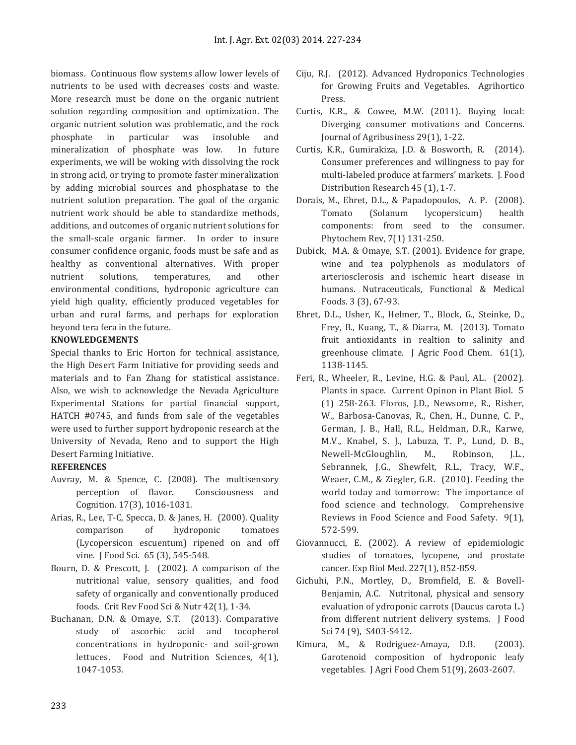biomass. Continuous flow systems allow lower levels of nutrients to be used with decreases costs and waste. More research must be done on the organic nutrient solution regarding composition and optimization. The organic nutrient solution was problematic, and the rock phosphate in particular was insoluble and mineralization of phosphate was low. In future experiments, we will be woking with dissolving the rock in strong acid, or trying to promote faster mineralization by adding microbial sources and phosphatase to the nutrient solution preparation. The goal of the organic nutrient work should be able to standardize methods, additions, and outcomes of organic nutrient solutions for the small-scale organic farmer. In order to insure consumer confidence organic, foods must be safe and as healthy as conventional alternatives. With proper nutrient solutions, temperatures, and other environmental conditions, hydroponic agriculture can yield high quality, efficiently produced vegetables for urban and rural farms, and perhaps for exploration beyond tera fera in the future.

## **KNOWLEDGEMENTS**

Special thanks to Eric Horton for technical assistance, the High Desert Farm Initiative for providing seeds and materials and to Fan Zhang for statistical assistance. Also, we wish to acknowledge the Nevada Agriculture Experimental Stations for partial financial support, HATCH #0745, and funds from sale of the vegetables were used to further support hydroponic research at the University of Nevada, Reno and to support the High Desert Farming Initiative.

### **REFERENCES**

- Auvray, M. & Spence, C. (2008). The multisensory perception of flavor. Consciousness and Cognition. 17(3), 1016-1031.
- Arias, R., Lee, T-C, Specca, D. & Janes, H. (2000). Quality comparison of hydroponic tomatoes (Lycopersicon escuentum) ripened on and off vine. J Food Sci. 65 (3), 545-548.
- Bourn, D. & Prescott, J. (2002). A comparison of the nutritional value, sensory qualities, and food safety of organically and conventionally produced foods. Crit Rev Food Sci & Nutr 42(1), 1-34.
- Buchanan, D.N. & Omaye, S.T. (2013). Comparative study of ascorbic acid and tocopherol concentrations in hydroponic- and soil-grown lettuces. Food and Nutrition Sciences, 4(1), 1047-1053.
- Ciju, R.J. (2012). Advanced Hydroponics Technologies for Growing Fruits and Vegetables. Agrihortico Press.
- Curtis, K.R., & Cowee, M.W. (2011). Buying local: Diverging consumer motivations and Concerns. Journal of Agribusiness 29(1), 1-22.
- Curtis, K.R., Gumirakiza, J.D. & Bosworth, R. (2014). Consumer preferences and willingness to pay for multi-labeled produce at farmers' markets. J. Food Distribution Research 45 (1), 1-7.
- Dorais, M., Ehret, D.L., & Papadopoulos, A. P. (2008). Tomato (Solanum lycopersicum) health components: from seed to the consumer. Phytochem Rev, 7(1) 131‐250.
- Dubick, M.A. & Omaye, S.T. (2001). Evidence for grape, wine and tea polyphenols as modulators of arteriosclerosis and ischemic heart disease in humans. Nutraceuticals, Functional & Medical Foods. 3 (3), 67‐93.
- Ehret, D.L., Usher, K., Helmer, T., Block, G., Steinke, D., Frey, B., Kuang, T., & Diarra, M. (2013). Tomato fruit antioxidants in realtion to salinity and greenhouse climate. J Agric Food Chem. 61(1), 1138-1145.
- Feri, R., Wheeler, R., Levine, H.G. & Paul, AL. (2002). Plants in space. Current Opinon in Plant Biol. 5 (1) 258-263. Floros, J.D., Newsome, R., Risher, W., Barbosa-Canovas, R., Chen, H., Dunne, C. P., German, J. B., Hall, R.L., Heldman, D.R., Karwe, M.V., Knabel, S. J., Labuza, T. P., Lund, D. B., Newell-McGloughlin, M., Robinson, J.L., Sebrannek, J.G., Shewfelt, R.L., Tracy, W.F., Weaer, C.M., & Ziegler, G.R. (2010). Feeding the world today and tomorrow: The importance of food science and technology. Comprehensive Reviews in Food Science and Food Safety. 9(1), 572-599.
- Giovannucci, E. (2002). A review of epidemiologic studies of tomatoes, lycopene, and prostate cancer. Exp Biol Med. 227(1), 852‐859.
- Gichuhi, P.N., Mortley, D., Bromfield, E. & Bovell-Benjamin, A.C. Nutritonal, physical and sensory evaluation of ydroponic carrots (Daucus carota L.) from different nutrient delivery systems. J Food Sci 74 (9), S403-S412.
- Kimura, M., & Rodriguez-Amaya, D.B. (2003). Garotenoid composition of hydroponic leafy vegetables. J Agri Food Chem 51(9), 2603-2607.